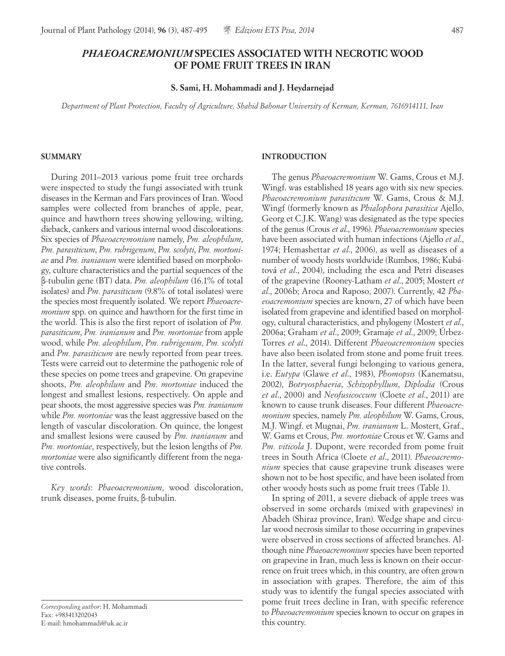# *PHAEOACREMONIUM* **SPECIES ASSOCIATED WITH NECROTIC WOOD OF POME FRUIT TREES IN IRAN**

**S. Sami, H. Mohammadi and J. Heydarnejad**

*Department of Plant Protection, Faculty of Agriculture, Shahid Bahonar University of Kerman, Kerman, 7616914111, Iran*

#### **SUMMARY**

During 2011–2013 various pome fruit tree orchards were inspected to study the fungi associated with trunk diseases in the Kerman and Fars provinces of Iran. Wood samples were collected from branches of apple, pear, quince and hawthorn trees showing yellowing, wilting, dieback, cankers and various internal wood discolorations. Six species of *Phaeoacremonium* namely, *Pm. aleophilum*, *Pm. parasiticum*, *Pm. rubrigenum*, *Pm. scolyti*, *Pm. mortoniae* and *Pm. iranianum* were identified based on morphology, culture characteristics and the partial sequences of the β-tubulin gene (BT) data. *Pm. aleophilum* (16.1% of total isolates) and *Pm. parasiticum* (9.8% of total isolates) were the species most frequently isolated. We report *Phaeoacremonium* spp. on quince and hawthorn for the first time in the world. This is also the first report of isolation of *Pm. parasiticum*, *Pm. iranianum* and *Pm. mortoniae* from apple wood, while *Pm. aleophilum*, *Pm. rubrigenum*, *Pm. scolyti* and *Pm. parasiticum* are newly reported from pear trees. Tests were carreid out to determine the pathogenic role of these species on pome trees and grapevine. On grapevine shoots, *Pm. aleophilum* and *Pm. mortoniae* induced the longest and smallest lesions, respectively. On apple and pear shoots, the most aggressive species was *Pm. iranianum*  while *Pm. mortoniae* was the least aggressive based on the length of vascular discoloration. On quince, the longest and smallest lesions were caused by *Pm. iranianum* and *Pm. mortoniae*, respectively, but the lesion lengths of *Pm. mortoniae* were also significantly different from the negative controls.

*Key words*: *Phaeoacremonium*, wood discoloration, trunk diseases, pome fruits, β-tubulin.

*Corresponding author*: H. Mohammadi Fax: +983413202043 E-mail: hmohammadi@uk.ac.ir

## **INTRODUCTION**

The genus *Phaeoacremonium* W. Gams, Crous et M.J. Wingf. was established 18 years ago with six new species. *Phaeoacremonium parasiticum* W. Gams, Crous & M.J. Wingf (formerly known as *Phialophora parasitica* Ajello, Georg et C.J.K. Wang) was designated as the type species of the genus (Crous *et al*., 1996). *Phaeoacremonium* species have been associated with human infections (Ajello *et al*., 1974; Hemashettar *et al*., 2006), as well as diseases of a number of woody hosts worldwide (Rumbos, 1986; Kubátová *et al*., 2004), including the esca and Petri diseases of the grapevine (Rooney-Latham *et al*., 2005; Mostert *et al*., 2006b; Aroca and Raposo, 2007). Currently, 42 *Phaeoacremonium* species are known, 27 of which have been isolated from grapevine and identified based on morphology, cultural characteristics, and phylogeny (Mostert *et al*., 2006a; Graham *et al*., 2009; Gramaje *et al*., 2009; Úrbez-Torres *et al*., 2014). Different *Phaeoacremonium* species have also been isolated from stone and pome fruit trees. In the latter, several fungi belonging to various genera, i.e. *Eutypa* (Glawe *et al*., 1983), *Phomopsis* (Kanematsu, 2002), *Botryosphaeria*, *Schizophyllum*, *Diplodia* (Crous *et al*., 2000) and *Neofusicoccum* (Cloete *et al*., 2011) are known to cause trunk diseases. Four different *Phaeoacremonium* species, namely *Pm. aleophilum* W. Gams, Crous, M.J. Wingf. et Mugnai, *Pm. iranianum* L. Mostert, Graf., W. Gams et Crous, *Pm. mortoniae* Crous et W. Gams and *Pm. viticola* J. Dupont, were recorded from pome fruit trees in South Africa (Cloete *et al*., 2011). *Phaeoacremonium* species that cause grapevine trunk diseases were shown not to be host specific, and have been isolated from other woody hosts such as pome fruit trees (Table 1).

In spring of 2011, a severe dieback of apple trees was observed in some orchards (mixed with grapevines) in Abadeh (Shiraz province, Iran). Wedge shape and circular wood necrosis similar to those occurring in grapevines were observed in cross sections of affected branches. Although nine *Phaeoacremonium* species have been reported on grapevine in Iran, much less is known on their occurrence on fruit trees which, in this country, are often grown in association with grapes. Therefore, the aim of this study was to identify the fungal species associated with pome fruit trees decline in Iran, with specific reference to *Phaeoacremonium* species known to occur on grapes in this country.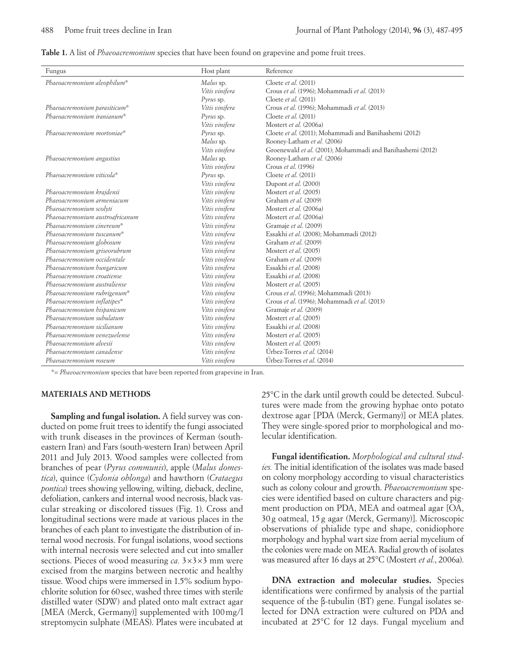|  |  |  | Table 1. A list of <i>Phaeoacremonium</i> species that have been found on grapevine and pome fruit tree <sup>r</sup> |  |  |  |  |  |
|--|--|--|----------------------------------------------------------------------------------------------------------------------|--|--|--|--|--|
|  |  |  |                                                                                                                      |  |  |  |  |  |

| Fungus                          | Host plant     | Reference                                                  |
|---------------------------------|----------------|------------------------------------------------------------|
| Phaeoacremonium aleophilum*     | Malus sp.      | Cloete et al. (2011)                                       |
|                                 | Vitis vinifera | Crous et al. (1996); Mohammadi et al. (2013)               |
|                                 | Pyrus sp.      | Cloete et al. (2011)                                       |
| Phaeoacremonium parasiticum*    | Vitis vinifera | Crous et al. (1996); Mohammadi et al. (2013)               |
| Phaeoacremonium iranianum*      | $Pyrus$ sp.    | Cloete et al. (2011)                                       |
|                                 | Vitis vinifera | Mostert et al. (2006a)                                     |
| Phaeoacremonium mortoniae*      | $Pyrus$ sp.    | Cloete et al. (2011); Mohammadi and Banihashemi (2012)     |
|                                 | Malus sp.      | Rooney-Latham et al. (2006)                                |
|                                 | Vitis vinifera | Groenewald et al. (2001); Mohammadi and Banihashemi (2012) |
| Phaeoacremonium angustius       | Malus sp.      | Rooney-Latham et al. (2006)                                |
|                                 | Vitis vinifera | Crous et al. (1996)                                        |
| Phaeoacremonium viticola*       | Pyrus sp.      | Cloete et al. (2011)                                       |
|                                 | Vitis vinifera | Dupont et al. (2000)                                       |
| Phaeoacremonium krajdenii       | Vitis vinifera | Mostert et al. (2005)                                      |
| Phaeoacremonium armeniacum      | Vitis vinifera | Graham et al. (2009)                                       |
| Phaeoacremonium scolyti         | Vitis vinifera | Mostert et al. (2006a)                                     |
| Phaeoacremonium austroafricanum | Vitis vinifera | Mostert et al. (2006a)                                     |
| Phaeoacremonium cinereum*       | Vitis vinifera | Gramaje et al. (2009)                                      |
| Phaeoacremonium tuscanum*       | Vitis vinifera | Essakhi et al. (2008); Mohammadi (2012)                    |
| Phaeoacremonium globosum        | Vitis vinifera | Graham et al. (2009)                                       |
| Phaeoacremonium griseorubrum    | Vitis vinifera | Mostert et al. (2005)                                      |
| Phaeoacremonium occidentale     | Vitis vinifera | Graham et al. (2009)                                       |
| Phaeoacremonium hungaricum      | Vitis vinifera | Essakhi et al. (2008)                                      |
| Phaeoacremonium croatiense      | Vitis vinifera | Essakhi et al. (2008)                                      |
| Phaeoacremonium australiense    | Vitis vinifera | Mostert et al. (2005)                                      |
| Phaeoacremonium rubrigenum*     | Vitis vinifera | Crous et al. (1996); Mohammadi (2013)                      |
| Phaeoacremonium inflatipes*     | Vitis vinifera | Crous et al. (1996); Mohammadi et al. (2013)               |
| Phaeoacremonium hispanicum      | Vitis vinifera | Gramaje et al. (2009)                                      |
| Phaeoacremonium subulatum       | Vitis vinifera | Mostert et al. (2005)                                      |
| Phaeoacremonium sicilianum      | Vitis vinifera | Essakhi et al. (2008)                                      |
| Phaeoacremonium venezuelense    | Vitis vinifera | Mostert et al. (2005)                                      |
| Phaeoacremonium alvesii         | Vitis vinifera | Mostert et al. (2005)                                      |
| Phaeoacremonium canadense       | Vitis vinifera | Úrbez-Torres et al. (2014)                                 |
| Phaeoacremonium roseum          | Vitis vinifera | Úrbez-Torres et al. (2014)                                 |

\*= *Phaeoacremonium* species that have been reported from grapevine in Iran.

### **MATERIALS AND METHODS**

**Sampling and fungal isolation.** A field survey was conducted on pome fruit trees to identify the fungi associated with trunk diseases in the provinces of Kerman (southeastern Iran) and Fars (south-western Iran) between April 2011 and July 2013. Wood samples were collected from branches of pear (*Pyrus communis*), apple (*Malus domestica*), quince (*Cydonia oblonga*) and hawthorn (*Crataegus pontica*) trees showing yellowing, wilting, dieback, decline, defoliation, cankers and internal wood necrosis, black vascular streaking or discolored tissues (Fig. 1). Cross and longitudinal sections were made at various places in the branches of each plant to investigate the distribution of internal wood necrosis. For fungal isolations, wood sections with internal necrosis were selected and cut into smaller sections. Pieces of wood measuring *ca.* 3×3×3 mm were excised from the margins between necrotic and healthy tissue. Wood chips were immersed in 1.5% sodium hypochlorite solution for 60sec, washed three times with sterile distilled water (SDW) and plated onto malt extract agar [MEA (Merck, Germany)] supplemented with 100mg/l streptomycin sulphate (MEAS). Plates were incubated at 25°C in the dark until growth could be detected. Subcultures were made from the growing hyphae onto potato dextrose agar [PDA (Merck, Germany)] or MEA plates. They were single-spored prior to morphological and molecular identification.

**Fungal identification.** *Morphological and cultural studies.* The initial identification of the isolates was made based on colony morphology according to visual characteristics such as colony colour and growth. *Phaeoacremonium* species were identified based on culture characters and pigment production on PDA, MEA and oatmeal agar [OA, 30 g oatmeal, 15 g agar (Merck, Germany)]. Microscopic observations of phialide type and shape, conidiophore morphology and hyphal wart size from aerial mycelium of the colonies were made on MEA. Radial growth of isolates was measured after 16 days at 25°C (Mostert *et al.*, 2006a).

**DNA extraction and molecular studies.** Species identifications were confirmed by analysis of the partial sequence of the β-tubulin (BT) gene. Fungal isolates selected for DNA extraction were cultured on PDA and incubated at 25°C for 12 days. Fungal mycelium and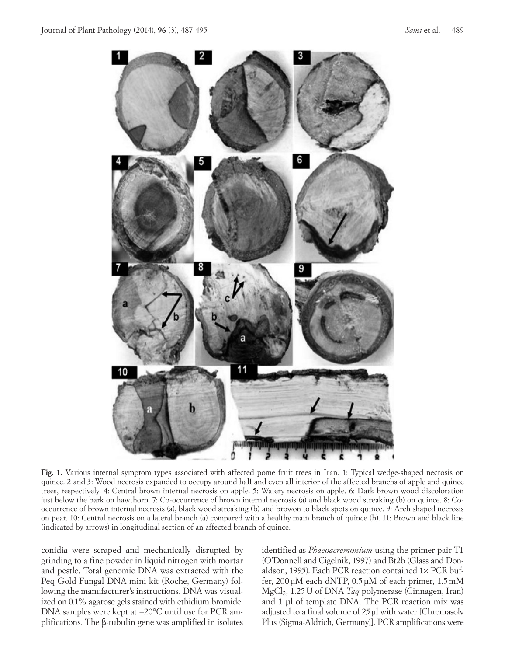

**Fig. 1.** Various internal symptom types associated with affected pome fruit trees in Iran. 1: Typical wedge-shaped necrosis on quince. 2 and 3: Wood necrosis expanded to occupy around half and even all interior of the affected branchs of apple and quince trees, respectively. 4: Central brown internal necrosis on apple. 5: Watery necrosis on apple. 6: Dark brown wood discoloration just below the bark on hawthorn. 7: Co-occurrence of brown internal necrosis (a) and black wood streaking (b) on quince. 8: Cooccurrence of brown internal necrosis (a), black wood streaking (b) and browon to black spots on quince. 9: Arch shaped necrosis on pear. 10: Central necrosis on a lateral branch (a) compared with a healthy main branch of quince (b). 11: Brown and black line (indicated by arrows) in longitudinal section of an affected branch of quince.

conidia were scraped and mechanically disrupted by grinding to a fine powder in liquid nitrogen with mortar and pestle. Total genomic DNA was extracted with the Peq Gold Fungal DNA mini kit (Roche, Germany) following the manufacturer's instructions. DNA was visualized on 0.1% agarose gels stained with ethidium bromide. DNA samples were kept at −20°C until use for PCR amplifications. The β-tubulin gene was amplified in isolates identified as *Phaeoacremonium* using the primer pair T1 (O'Donnell and Cigelnik, 1997) and Bt2b (Glass and Donaldson, 1995). Each PCR reaction contained 1× PCR buffer, 200μM each dNTP, 0.5μM of each primer, 1.5mM MgCl2, 1.25U of DNA *Taq* polymerase (Cinnagen, Iran) and 1 μl of template DNA. The PCR reaction mix was adjusted to a final volume of 25 ul with water [Chromasoly Plus (Sigma-Aldrich, Germany)]. PCR amplifications were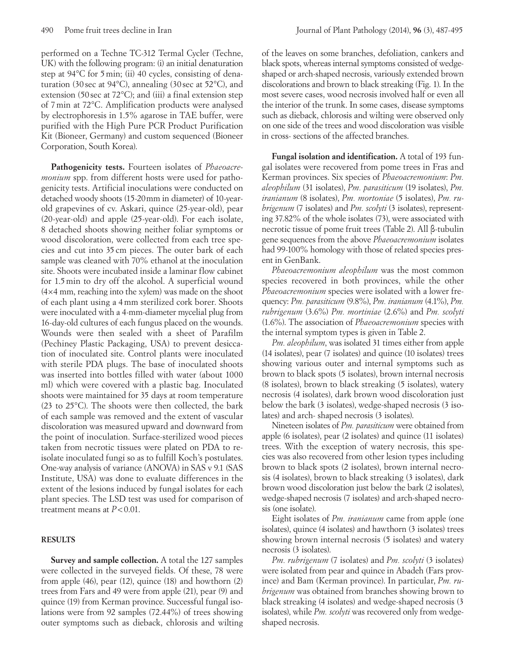performed on a Techne TC-312 Termal Cycler (Techne, UK) with the following program: (i) an initial denaturation step at 94°C for 5min; (ii) 40 cycles, consisting of denaturation (30 sec at 94°C), annealing (30 sec at 52°C), and extension (50 sec at 72°C); and (iii) a final extension step of 7min at 72°C. Amplification products were analysed by electrophoresis in 1.5% agarose in TAE buffer, were purified with the High Pure PCR Product Purification Kit (Bioneer, Germany) and custom sequenced (Bioneer Corporation, South Korea).

**Pathogenicity tests.** Fourteen isolates of *Phaeoacremonium* spp. from different hosts were used for pathogenicity tests. Artificial inoculations were conducted on detached woody shoots (15-20mm in diameter) of 10-yearold grapevines of cv. Askari, quince (25-year-old), pear (20-year-old) and apple (25-year-old). For each isolate, 8 detached shoots showing neither foliar symptoms or wood discoloration, were collected from each tree species and cut into 35 cm pieces. The outer bark of each sample was cleaned with 70% ethanol at the inoculation site. Shoots were incubated inside a laminar flow cabinet for 1.5min to dry off the alcohol. A superficial wound (4×4 mm, reaching into the xylem) was made on the shoot of each plant using a 4mm sterilized cork borer. Shoots were inoculated with a 4-mm-diameter mycelial plug from 16-day-old cultures of each fungus placed on the wounds. Wounds were then sealed with a sheet of Parafilm (Pechiney Plastic Packaging, USA) to prevent desiccation of inoculated site. Control plants were inoculated with sterile PDA plugs. The base of inoculated shoots was inserted into bottles filled with water (about 1000 ml) which were covered with a plastic bag. Inoculated shoots were maintained for 35 days at room temperature (23 to 25°C). The shoots were then collected, the bark of each sample was removed and the extent of vascular discoloration was measured upward and downward from the point of inoculation. Surface-sterilized wood pieces taken from necrotic tissues were plated on PDA to reisolate inoculated fungi so as to fulfill Koch's postulates. One-way analysis of variance (ANOVA) in SAS v 9.1 (SAS Institute, USA) was done to evaluate differences in the extent of the lesions induced by fungal isolates for each plant species. The LSD test was used for comparison of treatment means at *P*<0.01.

### **RESULTS**

**Survey and sample collection.** A total the 127 samples were collected in the surveyed fields. Of these, 78 were from apple (46), pear (12), quince (18) and howthorn (2) trees from Fars and 49 were from apple (21), pear (9) and quince (19) from Kerman province. Successful fungal isolations were from 92 samples (72.44%) of trees showing outer symptoms such as dieback, chlorosis and wilting of the leaves on some branches, defoliation, cankers and black spots, whereas internal symptoms consisted of wedgeshaped or arch-shaped necrosis, variously extended brown discolorations and brown to black streaking (Fig. 1). In the most severe cases, wood necrosis involved half or even all the interior of the trunk. In some cases, disease symptoms such as dieback, chlorosis and wilting were observed only on one side of the trees and wood discoloration was visible in cross- sections of the affected branches.

**Fungal isolation and identification.** A total of 193 fungal isolates were recovered from pome trees in Fras and Kerman provinces. Six species of *Phaeoacremonium*: *Pm. aleophilum* (31 isolates), *Pm. parasiticum* (19 isolates), *Pm. iranianum* (8 isolates), *Pm. mortoniae* (5 isolates), *Pm. rubrigenum* (7 isolates) and *Pm. scolyti* (3 isolates), representing 37.82% of the whole isolates (73), were associated with necrotic tissue of pome fruit trees (Table 2). All β-tubulin gene sequences from the above *Phaeoacremonium* isolates had 99-100% homology with those of related species present in GenBank.

*Phaeoacremonium aleophilum* was the most common species recovered in both provinces, while the other *Phaeoacremonium* species were isolated with a lower frequency: *Pm. parasiticum* (9.8%), *Pm. iranianum* (4.1%), *Pm. rubrigenum* (3.6%) *Pm. mortiniae* (2.6%) and *Pm. scolyti* (1.6%). The association of *Phaeoacremonium* species with the internal symptom types is given in Table 2.

*Pm. aleophilum*, was isolated 31 times either from apple (14 isolates), pear (7 isolates) and quince (10 isolates) trees showing various outer and internal symptoms such as brown to black spots (5 isolates), brown internal necrosis (8 isolates), brown to black streaking (5 isolates), watery necrosis (4 isolates), dark brown wood discoloration just below the bark (3 isolates), wedge-shaped necrosis (3 isolates) and arch- shaped necrosis (3 isolates).

Nineteen isolates of *Pm. parasiticum* were obtained from apple (6 isolates), pear (2 isolates) and quince (11 isolates) trees. With the exception of watery necrosis, this species was also recovered from other lesion types including brown to black spots (2 isolates), brown internal necrosis (4 isolates), brown to black streaking (3 isolates), dark brown wood discoloration just below the bark (2 isolates), wedge-shaped necrosis (7 isolates) and arch-shaped necrosis (one isolate).

Eight isolates of *Pm. iranianum* came from apple (one isolates), quince (4 isolates) and hawthorn (3 isolates) trees showing brown internal necrosis (5 isolates) and watery necrosis (3 isolates).

*Pm. rubrigenum* (7 isolates) and *Pm. scolyti* (3 isolates) were isolated from pear and quince in Abadeh (Fars province) and Bam (Kerman province). In particular, *Pm. rubrigenum* was obtained from branches showing brown to black streaking (4 isolates) and wedge-shaped necrosis (3 isolates), while *Pm. scolyti* was recovered only from wedgeshaped necrosis.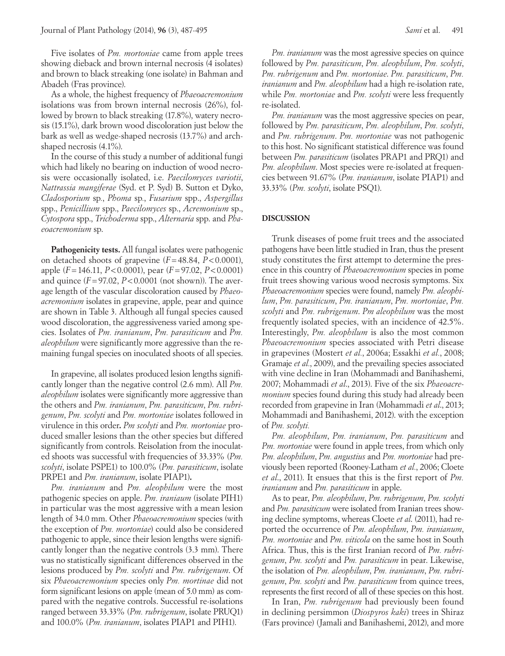Five isolates of *Pm. mortoniae* came from apple trees showing dieback and brown internal necrosis (4 isolates) and brown to black streaking (one isolate) in Bahman and Abadeh (Fras province).

As a whole, the highest frequency of *Phaeoacremonium* isolations was from brown internal necrosis (26%), followed by brown to black streaking (17.8%), watery necrosis (15.1%), dark brown wood discoloration just below the bark as well as wedge-shaped necrosis (13.7%) and archshaped necrosis (4.1%).

In the course of this study a number of additional fungi which had likely no bearing on induction of wood necrosis were occasionally isolated, i.e. *Paecilomyces variotii*, *Nattrassia mangiferae* (Syd. et P. Syd) B. Sutton et Dyko, *Cladosporium* sp*.*, *Phoma* sp*.*, *Fusarium* spp., *Aspergillus*  spp., *Penicillium* spp., *Paecilomyces* sp., *Acremonium* sp., *Cytospora* spp., *Trichoderma* spp., *Alternaria* spp. and *Phaeoacremonium* sp.

**Pathogenicity tests.** All fungal isolates were pathogenic on detached shoots of grapevine (*F*=48.84, *P*<0.0001), apple (*F*=146.11, *P*<0.0001), pear (*F*=97.02, *P*<0.0001) and quince  $(F = 97.02, P < 0.0001$  (not shown)). The average length of the vascular discoloration caused by *Phaeoacremonium* isolates in grapevine, apple, pear and quince are shown in Table 3. Although all fungal species caused wood discoloration, the aggressiveness varied among species. Isolates of *Pm. iranianum*, *Pm. parasiticum* and *Pm. aleophilum* were significantly more aggressive than the remaining fungal species on inoculated shoots of all species.

In grapevine, all isolates produced lesion lengths significantly longer than the negative control (2.6 mm). All *Pm. aleophilum* isolates were significantly more aggressive than the others and *Pm. iranianum*, *Pm. parasiticum*, *Pm. rubrigenum*, *Pm. scolyti* and *Pm. mortoniae* isolates followed in virulence in this order**.** *Pm scolyti* and *Pm. mortoniae* produced smaller lesions than the other species but differed significantly from controls. Reisolation from the inoculated shoots was successful with frequencies of 33.33% (*Pm. scolyti*, isolate PSPE1) to 100.0% (*Pm. parasiticum*, isolate PRPE1 and *Pm. iranianum*, isolate PIAP1)**.** 

*Pm. iranianum* and *Pm. aleophilum* were the most pathogenic species on apple. *Pm. iraniaum* (isolate PIH1) in particular was the most aggressive with a mean lesion length of 34.0 mm. Other *Phaeoacremonium* species (with the exception of *Pm. mortoniae*) could also be considered pathogenic to apple, since their lesion lengths were significantly longer than the negative controls (3.3 mm). There was no statistically significant differences observed in the lesions produced by *Pm. scolyti* and *Pm. rubrigenum*. Of six *Phaeoacremonium* species only *Pm. mortinae* did not form significant lesions on apple (mean of 5.0 mm) as compared with the negative controls. Successful re-isolations ranged between 33.33% (*Pm. rubrigenum*, isolate PRUQ1) and 100.0% (*Pm. iranianum*, isolates PIAP1 and PIH1).

*Pm. iranianum* was the most agressive species on quince followed by *Pm. parasiticum*, *Pm. aleophilum*, *Pm. scolyti*, *Pm. rubrigenum* and *Pm. mortoniae*. *Pm. parasiticum*, *Pm. iranianum* and *Pm. aleophilum* had a high re-isolation rate, while *Pm. mortoniae* and *Pm. scolyti* were less frequently re-isolated.

*Pm. iranianum* was the most aggressive species on pear, followed by *Pm. parasiticum*, *Pm. aleophilum*, *Pm. scolyti*, and *Pm. rubrigenum*. *Pm. mortoniae* was not pathogenic to this host. No significant statistical difference was found between *Pm. parasiticum* (isolates PRAP1 and PRQ1) and *Pm. aleophilum*. Most species were re-isolated at frequencies between 91.67% (*Pm. iranianum*, isolate PIAP1) and 33.33% (*Pm. scolyti*, isolate PSQ1).

#### **DISCUSSION**

Trunk diseases of pome fruit trees and the associated pathogens have been little studied in Iran, thus the present study constitutes the first attempt to determine the presence in this country of *Phaeoacremonium* species in pome fruit trees showing various wood necrosis symptoms. Six *Phaeoacremonium* species were found, namely *Pm. aleophilum*, *Pm. parasiticum*, *Pm. iranianum*, *Pm. mortoniae*, *Pm. scolyti* and *Pm. rubrigenum*. *Pm aleophilum* was the most frequently isolated species, with an incidence of 42.5%. Interestingly, *Pm. aleophilum* is also the most common *Phaeoacremonium* species associated with Petri disease in grapevines (Mostert *et al.*, 2006a; Essakhi *et al.*, 2008; Gramaje *et al.*, 2009), and the prevailing species associated with vine decline in Iran (Mohammadi and Banihashemi, 2007; Mohammadi *et al*., 2013). Five of the six *Phaeoacremonium* species found during this study had already been recorded from grapevine in Iran (Mohammadi *et al*., 2013; Mohammadi and Banihashemi, 2012). with the exception of *Pm. scolyti.*

*Pm. aleophilum*, *Pm. iranianum*, *Pm. parasiticum* and *Pm. mortoniae* were found in apple trees, from which only *Pm. aleophilum*, *Pm. angustius* and *Pm. mortoniae* had previously been reported (Rooney-Latham *et al.*, 2006; Cloete *et al*., 2011). It ensues that this is the first report of *Pm. iranianum* and *Pm. parasiticum* in apple.

As to pear, *Pm. aleophilum*, *Pm. rubrigenum*, *Pm. scolyti* and *Pm. parasiticum* were isolated from Iranian trees showing decline symptoms, whereas Cloete *et al*. (2011), had reported the occurrence of *Pm. aleophilum*, *Pm. iranianum*, *Pm. mortoniae* and *Pm. viticola* on the same host in South Africa. Thus, this is the first Iranian record of *Pm. rubrigenum*, *Pm. scolyti* and *Pm. parasiticum* in pear. Likewise, the isolation of *Pm. aleophilum*, *Pm. iranianum*, *Pm. rubrigenum*, *Pm. scolyti* and *Pm. parasiticum* from quince trees, represents the first record of all of these species on this host.

In Iran, *Pm. rubrigenum* had previously been found in declining persimmon (*Diospyros kaki*) trees in Shiraz (Fars province) (Jamali and Banihashemi, 2012), and more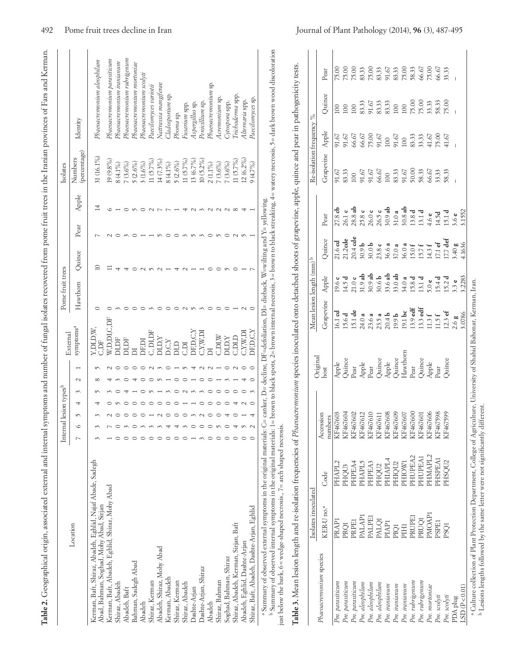| $\overline{\phantom{a}}$                                                          |
|-----------------------------------------------------------------------------------|
|                                                                                   |
| i                                                                                 |
|                                                                                   |
|                                                                                   |
| $\sim$                                                                            |
| ļ<br>ׇ֘֒                                                                          |
| l                                                                                 |
|                                                                                   |
| ֖֖֖֧ׅ֧ׅ֧ׅ֧ׅ֖֧֖֧ׅ֧֪֧֪֧֪֧֪ׅ֪֪֧֪ׅ֧֚֚֚֚֚֚֚֚֚֚֚֚֚֚֚֚֚֚֚֚֚֚֚֚֚֚֚֚֚֚֚֚֚֬֝֝֝֬֝֬֝֬֝֬֝֬֝֬֝֬ |
| ì                                                                                 |
| j                                                                                 |
| ;<br>ı                                                                            |
| i                                                                                 |
|                                                                                   |
| i<br>l<br>I<br>l                                                                  |
|                                                                                   |
|                                                                                   |
| $\frac{1}{1}$<br>ł                                                                |
| I<br>١<br>$\overline{\phantom{a}}$<br>۱                                           |
|                                                                                   |
|                                                                                   |
| i                                                                                 |
| l<br>l                                                                            |
| ١                                                                                 |
| l                                                                                 |
| $+$ to $-$ the $-$ th $-$                                                         |
|                                                                                   |
| 1<br>ĭ                                                                            |
| ł<br>١                                                                            |
| is a company<br>ł                                                                 |
| ¢<br>į                                                                            |
| $\frac{1}{4}$                                                                     |
|                                                                                   |
|                                                                                   |
| I                                                                                 |
| į                                                                                 |
| )                                                                                 |
| and the same case of<br>l                                                         |
|                                                                                   |
|                                                                                   |
| ا<br>ا<br>$\frac{1}{2}$                                                           |
|                                                                                   |
|                                                                                   |
| i                                                                                 |
| ֘֒                                                                                |
| 5                                                                                 |
| 27777777                                                                          |
| į<br>ł<br>į                                                                       |
|                                                                                   |
|                                                                                   |
|                                                                                   |
|                                                                                   |
|                                                                                   |
|                                                                                   |
|                                                                                   |
|                                                                                   |
|                                                                                   |
| $-1.4$                                                                            |
| j<br>I                                                                            |
| I                                                                                 |
|                                                                                   |
| $\frac{1}{2}$                                                                     |
|                                                                                   |
| ļ<br>֠                                                                            |
| ļ                                                                                 |
| ֖֖֖֖֖֖֖֖֖֧֪֪ׅ֖֪֪֚֚֚֚֚֚֚֚֚֚֚֚֚֚֚֚֚֚֚֬֝֓֩֓֞<br>$\overline{\phantom{a}}$<br>)        |
|                                                                                   |
|                                                                                   |
| l                                                                                 |
|                                                                                   |
|                                                                                   |
| I                                                                                 |
| İ                                                                                 |
|                                                                                   |
| i                                                                                 |
| I                                                                                 |

|                                                                                                      | Internal lesion types <sup>b</sup> |         | External              | Pome fruit trees |             |      |       | Isolates                |                            |
|------------------------------------------------------------------------------------------------------|------------------------------------|---------|-----------------------|------------------|-------------|------|-------|-------------------------|----------------------------|
| Location                                                                                             | $\sqrt{ }$<br>∘                    | $\sim$  | symptoms <sup>a</sup> | Hawthorn         | Quince      | Pear | Apple | (percentage)<br>Numbers | Identity                   |
| Kerman, Baft, Shiraz, Abadeh, Eghlid, Najaf Abade, Sadegh<br>Abad, Bahman, Soghad, Mohy Abad, Sirjan |                                    | r       | Y.DI.D.W<br>C, DF     |                  | $\supseteq$ |      | 14    | 31 (16.1%)              | Phaeoacremonium aleophilum |
| Kerman, Baft, Abadeh, Eghlid, Shiraz, Mohy Abad                                                      |                                    |         | W.D.DI,C,DF           |                  |             |      |       | $19(9.8\%)$             | Phaeoacremonum parasiticum |
| Shiraz, Abadeh                                                                                       |                                    |         | DI, DF                |                  |             |      |       | $8(4.1\%)$              | Phaeoacremonum iranianum   |
| Abadeh, Baft                                                                                         |                                    |         | <b>DI,DF</b>          |                  |             |      |       | 7(3.6%                  | Phaeoacremonuum rubrigenum |
| Bahman, Sadegh Abad                                                                                  |                                    |         |                       |                  |             |      |       | 5(2.6%)                 | Phaeoacremonium mortoniae  |
| Abadeh                                                                                               |                                    |         | DF.DI                 |                  |             |      |       | $3(1.6\%)$              | Phaeoacremonum scolytu     |
| Shiraz, Kerman                                                                                       |                                    |         | C, DI, DF             |                  |             |      |       | $11 (5.7\%$             | Paecilomyces variotu       |
| Abadeh, Shiraz, Mohy Abad                                                                            |                                    |         | DI, D, Y              |                  |             |      |       | 14 (7.3%)               | Nattrassia mangiferae      |
| Kerman, Abadeh                                                                                       |                                    |         | D, C, Y               |                  |             |      |       | 8 (4.1%)                | Cladosporium sp            |
| Shiraz, Kerman                                                                                       |                                    |         | DI,D                  |                  |             |      |       | $5(2.6\%)$              | Phoma sp.                  |
| Shiraz, Abadeh                                                                                       |                                    |         | Ιď                    |                  |             |      |       | $11 (5.7\%)$            | Fusarium spp.              |
| Dashte-Arjan                                                                                         |                                    | ↤       | DF, D, C, Y           |                  |             |      |       | $13(6.7\%)$             | Aspergillus sp.            |
| Dashte-Arjan, Shiraz                                                                                 |                                    |         | $C_1X_\cdot W_2D1$    |                  |             |      |       | $10(5.2\%)$             | Penicillium sp.            |
| Abadeh                                                                                               |                                    |         |                       |                  |             |      |       | 2 (1.1%)                | Phaeoacremontum sp.        |
| Shiraz, Bahman                                                                                       |                                    |         | $C$ , $DI$ , $W$      |                  |             |      |       | $7(3.6\%)$              | Acremonum sp.              |
| Soghad, Bahman, Shiraz                                                                               |                                    | $\circ$ | $DI$ , $DX$           |                  |             |      |       | 7(3.6%)                 | Cytospora spp.             |
| Shiraz, Abadeh, Kerman, Sirjan, Baft                                                                 |                                    | $\sim$  | CIDID                 |                  |             |      |       | $11(5.7\%)$             | Trichoderma spp.           |
| Abadeh, Eghlid, Dashte-Arjan                                                                         |                                    |         | C,Y,W,DI              |                  |             |      |       | $12(6.2\%)$             | Alternaria spp.            |
| Shiraz, Baft, Abadeh, Dashte-Arjan, Eghlid                                                           |                                    |         | DF,D,C,Y              |                  |             |      |       | 9(4.7%)                 | Paecilomyces sp.           |

" Summary of observed internal symptoms in the original materials: 1= brown to black spots, ∠= brown internal necrosis, э= brown to black streaking, 4= watery necrosis, >= dark brown wood duscoloration<br>just below the bark just below the bark, 6= wedge-shaped necrosis., 7= arch shaped necrosis.

**Table 3.** Mean lesion length and re-isolation frequencies of *Phaeoacremonum* species inoculated onto detached shoots of grapevine, apple, quince and pear in pathogenicity tests. **Table 3.** Mean lesion length and re-isolation frequencies of *Phaeoacremonium* species inoculated onto detached shoots of grapevine, apple, quince and pear in pathogenicity tests.

|                         | Isolates inoculated |                   |                                                                                                                                                                                                                         |                                                                                                    | Mean lesion length (mm) <sup>b</sup>                                                                                                                                       |                                                                                                                                                                                                                              |                                                                                                                                                                                                                                                                                                                                                                              |      | Re-isolation frequency % |                                                                                                                                                                                                                                                                                                                                                                                                                                                |        |      |
|-------------------------|---------------------|-------------------|-------------------------------------------------------------------------------------------------------------------------------------------------------------------------------------------------------------------------|----------------------------------------------------------------------------------------------------|----------------------------------------------------------------------------------------------------------------------------------------------------------------------------|------------------------------------------------------------------------------------------------------------------------------------------------------------------------------------------------------------------------------|------------------------------------------------------------------------------------------------------------------------------------------------------------------------------------------------------------------------------------------------------------------------------------------------------------------------------------------------------------------------------|------|--------------------------|------------------------------------------------------------------------------------------------------------------------------------------------------------------------------------------------------------------------------------------------------------------------------------------------------------------------------------------------------------------------------------------------------------------------------------------------|--------|------|
| Phaeoacremonium species | KER-U no.ª          | Code              | Accession                                                                                                                                                                                                               | Original<br>host                                                                                   | Grapevine                                                                                                                                                                  | Apple                                                                                                                                                                                                                        | Quince                                                                                                                                                                                                                                                                                                                                                                       | Pear | Grapevine                | Apple                                                                                                                                                                                                                                                                                                                                                                                                                                          | Quince | Pear |
| Pm. parasticum          | PRAPI               | PHAPL2            | $\begin{tabular}{l} \hline number \\ KR467603 \\ KR467604 \\ KR467602 \\ KR46761 \\ KR46761 \\ KR46761 \\ KR46760 \\ KR46760 \\ KR46760 \\ KR46760 \\ KR46760 \\ KR46760 \\ KR46760 \\ KR46760 \\ \hline \end{tabular}$ |                                                                                                    |                                                                                                                                                                            |                                                                                                                                                                                                                              |                                                                                                                                                                                                                                                                                                                                                                              |      |                          | $\begin{array}{l} \overline{91.67} \\ \overline{91.67} \\ \overline{91.67} \\ \overline{93.69} \\ \overline{95.69} \\ \overline{96.69} \\ \overline{97.69} \\ \overline{100} \\ \overline{110} \\ \overline{120} \\ \overline{130} \\ \overline{140} \\ \overline{150} \\ \overline{167} \\ \overline{180} \\ \overline{190} \\ \overline{190} \\ \overline{190} \\ \overline{190} \\ \overline{190} \\ \overline{190} \\ \overline{190} \\ \$ |        |      |
| Pm. parastitcum         | PRQ1                | PHQU3             |                                                                                                                                                                                                                         | Apple<br>Quince<br>Pear<br>Apple<br>Apple<br>Apple<br>Hawthorn<br>Hawthorn<br>Pear<br>Pear<br>Pear | $1614$<br>$1634$<br>$16404$<br>$16355$<br>$16365$<br>$16375$<br>$16375$<br>$16375$<br>$16375$<br>$16375$<br>$16375$<br>$16375$<br>$16375$<br>$16375$<br>$16375$<br>$16375$ | $23.4728$ and a set of a set of a set of a set of a set of a set of a set of a set of a set of a set of a set of a set of a set of a set of a set of a set of a set of a set of a set of a set of a set of a set of a set of | $\begin{array}{l} 21.6 \text{ d} \\ 21.2 \text{ d} \\ 20.4 \text{ d} \\ 20.9 \text{ b} \\ 20.9 \text{ d} \\ 20.0 \text{ d} \\ 20.0 \text{ d} \\ 20.0 \text{ d} \\ 20.0 \text{ d} \\ 20.0 \text{ d} \\ 20.0 \text{ d} \\ 20.0 \text{ d} \\ 20.0 \text{ d} \\ 20.0 \text{ d} \\ 20.0 \text{ d} \\ 20.0 \text{ d} \\ 20.0 \text{ d} \\ 20.0 \text{ d} \\ 20.0 \text{ d} \\ 20.$ |      |                          |                                                                                                                                                                                                                                                                                                                                                                                                                                                |        |      |
| Pm. parasiticum         | PRPE1               | PHPEA4            |                                                                                                                                                                                                                         |                                                                                                    |                                                                                                                                                                            |                                                                                                                                                                                                                              |                                                                                                                                                                                                                                                                                                                                                                              |      |                          |                                                                                                                                                                                                                                                                                                                                                                                                                                                |        |      |
| Pm. aleophilum          | PALAPI              | PHAPL5            |                                                                                                                                                                                                                         |                                                                                                    |                                                                                                                                                                            |                                                                                                                                                                                                                              |                                                                                                                                                                                                                                                                                                                                                                              |      |                          |                                                                                                                                                                                                                                                                                                                                                                                                                                                |        |      |
| Pm. aleophilum          | <b>EELK</b>         | PHPEA3            |                                                                                                                                                                                                                         |                                                                                                    |                                                                                                                                                                            |                                                                                                                                                                                                                              |                                                                                                                                                                                                                                                                                                                                                                              |      |                          |                                                                                                                                                                                                                                                                                                                                                                                                                                                |        |      |
| Pm. aleophilum          | <b>PALQ1</b>        | PHQU <sub>2</sub> |                                                                                                                                                                                                                         |                                                                                                    |                                                                                                                                                                            |                                                                                                                                                                                                                              |                                                                                                                                                                                                                                                                                                                                                                              |      |                          |                                                                                                                                                                                                                                                                                                                                                                                                                                                |        |      |
| Pm. iranianum           | PIAP <sub>1</sub>   | PHIAPL4           |                                                                                                                                                                                                                         |                                                                                                    |                                                                                                                                                                            |                                                                                                                                                                                                                              |                                                                                                                                                                                                                                                                                                                                                                              |      |                          |                                                                                                                                                                                                                                                                                                                                                                                                                                                |        |      |
| Pm. iranianum           | <b>DI</b> c         | PHIQU2            |                                                                                                                                                                                                                         |                                                                                                    |                                                                                                                                                                            |                                                                                                                                                                                                                              |                                                                                                                                                                                                                                                                                                                                                                              |      |                          |                                                                                                                                                                                                                                                                                                                                                                                                                                                |        |      |
| Pm. iranianum           | PIH1                | PHIOW1            |                                                                                                                                                                                                                         |                                                                                                    |                                                                                                                                                                            |                                                                                                                                                                                                                              |                                                                                                                                                                                                                                                                                                                                                                              |      |                          |                                                                                                                                                                                                                                                                                                                                                                                                                                                |        |      |
| Pm. rubrigenum          | <b>HUDE</b>         | PHUPEA2           |                                                                                                                                                                                                                         |                                                                                                    |                                                                                                                                                                            |                                                                                                                                                                                                                              |                                                                                                                                                                                                                                                                                                                                                                              |      |                          |                                                                                                                                                                                                                                                                                                                                                                                                                                                |        |      |
| Pm. rubrigenum          | PRUQ1               | PHUPEAI           |                                                                                                                                                                                                                         |                                                                                                    |                                                                                                                                                                            |                                                                                                                                                                                                                              |                                                                                                                                                                                                                                                                                                                                                                              |      |                          |                                                                                                                                                                                                                                                                                                                                                                                                                                                |        |      |
| Pm. mortoniae           | PMOAP <sub>1</sub>  | PHMAPL2           |                                                                                                                                                                                                                         |                                                                                                    |                                                                                                                                                                            |                                                                                                                                                                                                                              |                                                                                                                                                                                                                                                                                                                                                                              |      |                          |                                                                                                                                                                                                                                                                                                                                                                                                                                                |        |      |
| Pm. scolyti             | <b>PSPE1</b>        | PHSPEA1           |                                                                                                                                                                                                                         |                                                                                                    |                                                                                                                                                                            |                                                                                                                                                                                                                              |                                                                                                                                                                                                                                                                                                                                                                              |      |                          |                                                                                                                                                                                                                                                                                                                                                                                                                                                |        |      |
| Pm. scolyti             | <b>PSQ1</b>         | SHSQU2            |                                                                                                                                                                                                                         |                                                                                                    |                                                                                                                                                                            |                                                                                                                                                                                                                              |                                                                                                                                                                                                                                                                                                                                                                              |      |                          |                                                                                                                                                                                                                                                                                                                                                                                                                                                |        |      |
| PDA plug                |                     |                   |                                                                                                                                                                                                                         |                                                                                                    |                                                                                                                                                                            |                                                                                                                                                                                                                              |                                                                                                                                                                                                                                                                                                                                                                              |      |                          |                                                                                                                                                                                                                                                                                                                                                                                                                                                |        |      |
| LSD(P<0.01)             |                     |                   |                                                                                                                                                                                                                         |                                                                                                    |                                                                                                                                                                            |                                                                                                                                                                                                                              |                                                                                                                                                                                                                                                                                                                                                                              |      |                          |                                                                                                                                                                                                                                                                                                                                                                                                                                                |        |      |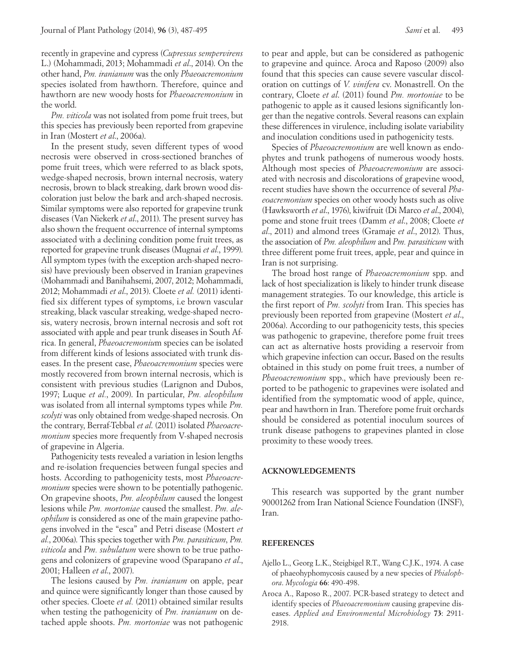recently in grapevine and cypress (*Cupressus sempervirens* L.) (Mohammadi, 2013; Mohammadi *et al*., 2014). On the other hand, *Pm. iranianum* was the only *Phaeoacremonium* species isolated from hawthorn. Therefore, quince and hawthorn are new woody hosts for *Phaeoacremonium* in the world.

*Pm. viticola* was not isolated from pome fruit trees, but this species has previously been reported from grapevine in Iran (Mostert *et al*., 2006a).

In the present study, seven different types of wood necrosis were observed in cross-sectioned branches of pome fruit trees, which were referred to as black spots, wedge-shaped necrosis, brown internal necrosis, watery necrosis, brown to black streaking, dark brown wood discoloration just below the bark and arch-shaped necrosis. Similar symptoms were also reported for grapevine trunk diseases (Van Niekerk *et al*., 2011). The present survey has also shown the frequent occurrence of internal symptoms associated with a declining condition pome fruit trees, as reported for grapevine trunk diseases (Mugnai *et al.*, 1999). All symptom types (with the exception arch-shaped necrosis) have previously been observed in Iranian grapevines (Mohammadi and Banihahsemi, 2007, 2012; Mohammadi, 2012; Mohammadi *et al*., 2013). Cloete *et al.* (2011) identified six different types of symptoms, i.e brown vascular streaking, black vascular streaking, wedge-shaped necrosis, watery necrosis, brown internal necrosis and soft rot associated with apple and pear trunk diseases in South Africa. In general, *Phaeoacremoniu*m species can be isolated from different kinds of lesions associated with trunk diseases. In the present case, *Phaeoacremonium* species were mostly recovered from brown internal necrosis, which is consistent with previous studies (Larignon and Dubos, 1997; Luque *et al.*, 2009). In particular, *Pm. aleophilum* was isolated from all internal symptoms types while *Pm. scolyti* was only obtained from wedge-shaped necrosis. On the contrary, Berraf-Tebbal *et al*. (2011) isolated *Phaeoacremonium* species more frequently from V-shaped necrosis of grapevine in Algeria.

Pathogenicity tests revealed a variation in lesion lengths and re-isolation frequencies between fungal species and hosts. According to pathogenicity tests, most *Phaeoacremonium* species were shown to be potentially pathogenic. On grapevine shoots, *Pm. aleophilum* caused the longest lesions while *Pm. mortoniae* caused the smallest. *Pm. aleophilum* is considered as one of the main grapevine pathogens involved in the "esca" and Petri disease (Mostert *et al.*, 2006a). This species together with *Pm. parasiticum*, *Pm. viticola* and *Pm. subulatum* were shown to be true pathogens and colonizers of grapevine wood (Sparapano *et al*., 2001; Halleen *et al*., 2007).

The lesions caused by *Pm. iranianum* on apple, pear and quince were significantly longer than those caused by other species. Cloete *et al.* (2011) obtained similar results when testing the pathogenicity of *Pm. iranianum* on detached apple shoots. *Pm. mortoniae* was not pathogenic

to pear and apple, but can be considered as pathogenic to grapevine and quince. Aroca and Raposo (2009) also found that this species can cause severe vascular discoloration on cuttings of *V. vinifera* cv. Monastrell. On the contrary, Cloete *et al*. (2011) found *Pm. mortoniae* to be pathogenic to apple as it caused lesions significantly longer than the negative controls. Several reasons can explain these differences in virulence, including isolate variability and inoculation conditions used in pathogenicity tests.

Species of *Phaeoacremonium* are well known as endophytes and trunk pathogens of numerous woody hosts. Although most species of *Phaeoacremonium* are associated with necrosis and discolorations of grapevine wood, recent studies have shown the occurrence of several *Phaeoacremonium* species on other woody hosts such as olive (Hawksworth *et al*., 1976), kiwifruit (Di Marco *et al*., 2004), pome and stone fruit trees (Damm *et al*., 2008; Cloete *et al*., 2011) and almond trees (Gramaje *et al*., 2012). Thus, the association of *Pm. aleophilum* and *Pm. parasiticum* with three different pome fruit trees, apple, pear and quince in Iran is not surprising.

The broad host range of *Phaeoacremonium* spp. and lack of host specialization is likely to hinder trunk disease management strategies. To our knowledge, this article is the first report of *Pm. scolyti* from Iran. This species has previously been reported from grapevine (Mostert *et al*., 2006a). According to our pathogenicity tests, this species was pathogenic to grapevine, therefore pome fruit trees can act as alternative hosts providing a reservoir from which grapevine infection can occur**.** Based on the results obtained in this study on pome fruit trees, a number of *Phaeoacremonium* spp., which have previously been reported to be pathogenic to grapevines were isolated and identified from the symptomatic wood of apple, quince, pear and hawthorn in Iran. Therefore pome fruit orchards should be considered as potential inoculum sources of trunk disease pathogens to grapevines planted in close proximity to these woody trees.

# **ACKNOWLEDGEMENTS**

This research was supported by the grant number 90001262 from Iran National Science Foundation (INSF), Iran.

## **REFERENCES**

- Ajello L., Georg L.K., Steigbigel R.T., Wang C.J.K., 1974. A case of phaeohyphomycosis caused by a new species of *Phialophora*. *Mycologia* **66**: 490-498.
- Aroca A., Raposo R., 2007. PCR-based strategy to detect and identify species of *Phaeoacremonium* causing grapevine diseases. *Applied and Environmental Microbiology* **73**: 2911- 2918.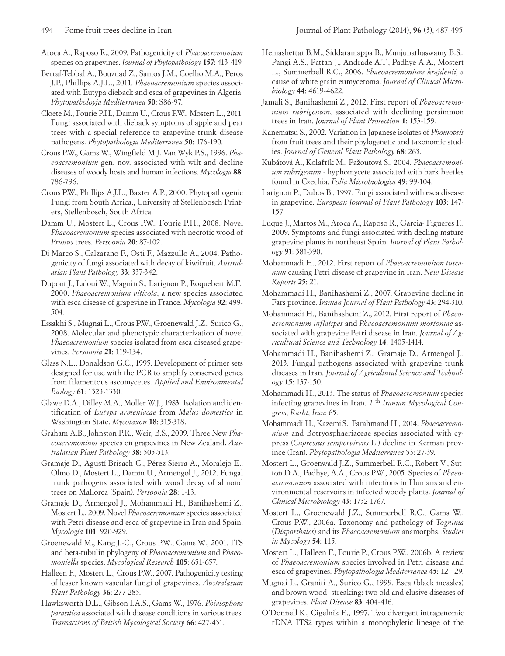- Aroca A., Raposo R., 2009. Pathogenicity of *Phaeoacremonium* species on grapevines. *Journal of Phytopathology* **157**: 413-419.
- Berraf-Tebbal A., Bouznad Z., Santos J.M., Coelho M.A., Peros J.P., Phillips A.J.L., 2011. *Phaeoacremonium* species associated with Eutypa dieback and esca of grapevines in Algeria. *Phytopathologia Mediterranea* **50**: S86-97.
- Cloete M., Fourie P.H., Damm U., Crous P.W., Mostert L., 2011. Fungi associated with dieback symptoms of apple and pear trees with a special reference to grapevine trunk disease pathogens. *Phytopathologia Mediterranea* **50**: 176-190.
- Crous P.W., Gams W., Wingfield M.J. Van Wyk P.S., 1996. *Phaeoacremonium* gen. nov. associated with wilt and decline diseases of woody hosts and human infections. *Mycologia* **88**: 786-796.
- Crous P.W., Phillips A.J.L., Baxter A.P., 2000. Phytopathogenic Fungi from South Africa., University of Stellenbosch Printers, Stellenbosch, South Africa.
- Damm U., Mostert L., Crous P.W., Fourie P.H., 2008. Novel *Phaeoacremonium* species associated with necrotic wood of *Prunus* trees. *Persoonia* **20**: 87-102.
- Di Marco S., Calzarano F., Osti F., Mazzullo A., 2004. Pathogenicity of fungi associated with decay of kiwifruit. *Australasian Plant Pathology* **33**: 337-342.
- Dupont J., Laloui W., Magnin S., Larignon P., Roquebert M.F., 2000. *Phaeoacremonium viticola*, a new species associated with esca disease of grapevine in France. *Mycologia* **92**: 499- 504.
- Essakhi S., Mugnai L., Crous P.W., Groenewald J.Z., Surico G., 2008. Molecular and phenotypic characterization of novel *Phaeoacremonium* species isolated from esca diseased grapevines. *Persoonia* **21**: 119-134.
- Glass N.L., Donaldson G.C., 1995. Development of primer sets designed for use with the PCR to amplify conserved genes from filamentous ascomycetes. *Applied and Environmental Biology* **61**: 1323-1330.
- Glawe D.A., Dilley M.A., Moller W.J., 1983. Isolation and identification of *Eutypa armeniacae* from *Malus domestica* in Washington State. *Mycotaxon* **18**: 315-318.
- Graham A.B., Johnston P.R., Weir, B.S., 2009. Three New *Phaeoacremonium* species on grapevines in New Zealand*. Australasian Plant Pathology* **38**: 505-513.
- Gramaje D., Agustí-Brisach C., Pérez-Sierra A., Moralejo E., Olmo D., Mostert L., Damm U., Armengol J., 2012. Fungal trunk pathogens associated with wood decay of almond trees on Mallorca (Spain). *Persoonia* **28**: 1-13.
- Gramaje D., Armengol J., Mohammadi H., Banihashemi Z., Mostert L., 2009. Novel *Phaeoacremonium* species associated with Petri disease and esca of grapevine in Iran and Spain. *Mycologia* **101**: 920-929.
- Groenewald M., Kang J.-C., Crous P.W., Gams W., 2001. ITS and beta-tubulin phylogeny of *Phaeoacremonium* and *Phaeomoniella* species. *Mycological Research* **105**: 651-657.
- Halleen F., Mostert L., Crous P.W., 2007. Pathogenicity testing of lesser known vascular fungi of grapevines. *Australasian Plant Pathology* **36**: 277-285.
- Hawksworth D.L., Gibson I.A.S., Gams W., 1976. *Phialophora parasitica* associated with disease conditions in various trees. *Transactions of British Mycological Society* **66**: 427-431.
- Hemashettar B.M., Siddaramappa B., Munjunathaswamy B.S., Pangi A.S., Pattan J., Andrade A.T., Padhye A.A., Mostert L., Summerbell R.C., 2006. *Phaeoacremonium krajdenii*, a cause of white grain eumycetoma. *Journal of Clinical Microbiology* **44**: 4619-4622.
- Jamali S., Banihashemi Z., 2012. First report of *Phaeoacremonium rubrigenum*, associated with declining persimmon trees in Iran. *Journal of Plant Protection* **1**: 153-159.
- Kanematsu S., 2002. Variation in Japanese isolates of *Phomopsis*  from fruit trees and their phylogenetic and taxonomic studies. *Journal of General Plant Pathology* **68**: 263.
- Kubátová A., Kolařrík M., Pažoutová S., 2004. *Phaeoacremonium rubrigenum* - hyphomycete associated with bark beetles found in Czechia. *Folia Microbiologica* **49**: 99-104.
- Larignon P., Dubos B., 1997. Fungi associated with esca disease in grapevine. *European Journal of Plant Pathology* **103**: 147- 157.
- Luque J., Martos M., Aroca A., Raposo R., Garcia- Figueres F., 2009. Symptoms and fungi associated with decling mature grapevine plants in northeast Spain. *Journal of Plant Pathology* **91**: 381-390.
- Mohammadi H., 2012. First report of *Phaeoacremonium tuscanum* causing Petri disease of grapevine in Iran. *New Disease Reports* **25**: 21.
- Mohammadi H., Banihashemi Z., 2007. Grapevine decline in Fars province. *Iranian Journal of Plant Pathology* **43**: 294-310.
- Mohammadi H., Banihashemi Z., 2012. First report of *Phaeoacremonium inflatipes* and *Phaeoacremonium mortoniae* associated with grapevine Petri disease in Iran. *Journal of Agricultural Science and Technology* **14**: 1405-1414.
- Mohammadi H., Banihashemi Z., Gramaje D., Armengol J., 2013. Fungal pathogens associated with grapevine trunk diseases in Iran. *Journal of Agricultural Science and Technology* **15**: 137-150.
- Mohammadi H.**,** 2013. The status of *Phaeoacremonium* species infecting grapevines in Iran. *1* th *Iranian Mycological Congress*, *Rasht*, *Iran*: 65.
- Mohammadi H., Kazemi S., Farahmand H., 2014. *Phaeoacremonium* and Botryosphaeriaceae species associated with cypress (*Cupressus sempervirens* L.) decline in Kerman province (Iran). *Phytopathologia Mediterranea* 53: 27-39.
- Mostert L., Groenwald J.Z., Summerbell R.C., Robert V., Sutton D.A., Padhye, A.A., Crous P.W., 2005. Species of *Phaeoacremonium* associated with infections in Humans and environmental reservoirs in infected woody plants. *Journal of Clinical Microbiology* **43**: 1752-1767.
- Mostert L., Groenewald J.Z., Summerbell R.C., Gams W., Crous P.W., 2006a. Taxonomy and pathology of *Togninia*  (*Diaporthales*) and its *Phaeoacremonium* anamorphs. *Studies in Mycology* **54**: 115.
- Mostert L., Halleen F., Fourie P., Crous P.W., 2006b. A review of *Phaeoacremonium* species involved in Petri disease and esca of grapevines. *Phytopathologia Mediterranea* **45**: 12 - 29.
- Mugnai L., Graniti A., Surico G., 1999. Esca (black measles) and brown wood–streaking: two old and elusive diseases of grapevines. *Plant Disease* **83**: 404-416.
- O'Donnell K., Cigelnik E., 1997. Two divergent intragenomic rDNA ITS2 types within a monophyletic lineage of the